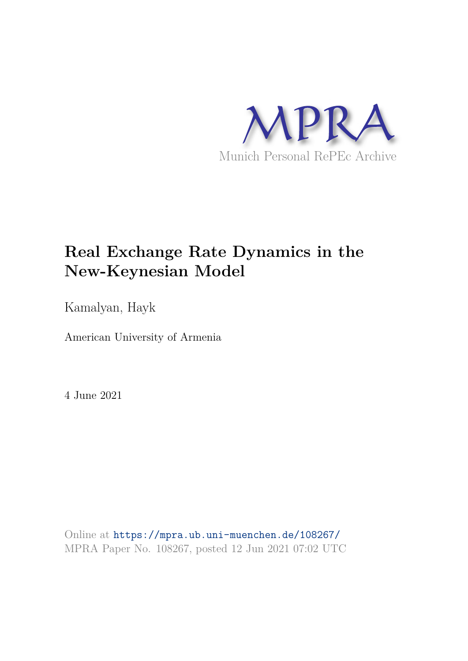

### **Real Exchange Rate Dynamics in the New-Keynesian Model**

Kamalyan, Hayk

American University of Armenia

4 June 2021

Online at https://mpra.ub.uni-muenchen.de/108267/ MPRA Paper No. 108267, posted 12 Jun 2021 07:02 UTC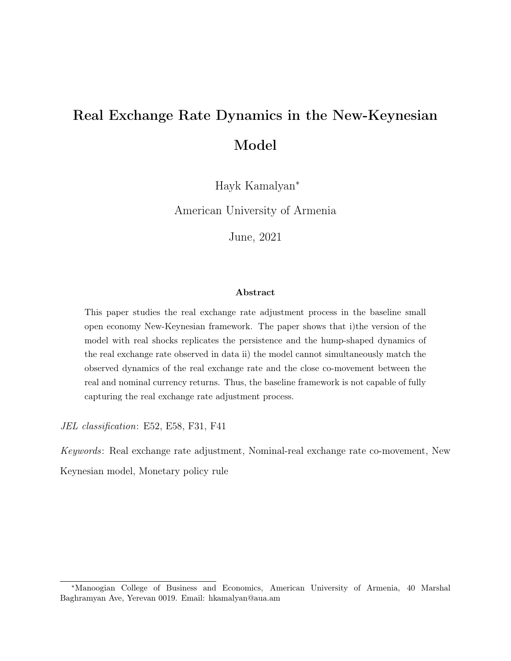## Real Exchange Rate Dynamics in the New-Keynesian Model

Hayk Kamalyan<sup>∗</sup>

American University of Armenia

June, 2021

#### Abstract

This paper studies the real exchange rate adjustment process in the baseline small open economy New-Keynesian framework. The paper shows that i)the version of the model with real shocks replicates the persistence and the hump-shaped dynamics of the real exchange rate observed in data ii) the model cannot simultaneously match the observed dynamics of the real exchange rate and the close co-movement between the real and nominal currency returns. Thus, the baseline framework is not capable of fully capturing the real exchange rate adjustment process.

JEL classification: E52, E58, F31, F41

Keywords: Real exchange rate adjustment, Nominal-real exchange rate co-movement, New Keynesian model, Monetary policy rule

<sup>∗</sup>Manoogian College of Business and Economics, American University of Armenia, 40 Marshal Baghramyan Ave, Yerevan 0019. Email: hkamalyan@aua.am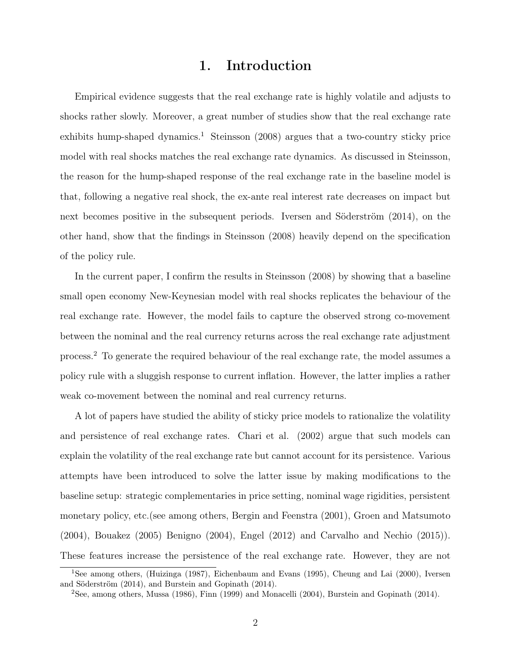#### 1. Introduction

Empirical evidence suggests that the real exchange rate is highly volatile and adjusts to shocks rather slowly. Moreover, a great number of studies show that the real exchange rate exhibits hump-shaped dynamics.<sup>1</sup> Steinsson (2008) argues that a two-country sticky price model with real shocks matches the real exchange rate dynamics. As discussed in Steinsson, the reason for the hump-shaped response of the real exchange rate in the baseline model is that, following a negative real shock, the ex-ante real interest rate decreases on impact but next becomes positive in the subsequent periods. Iversen and Söderström (2014), on the other hand, show that the findings in Steinsson (2008) heavily depend on the specification of the policy rule.

In the current paper, I confirm the results in Steinsson (2008) by showing that a baseline small open economy New-Keynesian model with real shocks replicates the behaviour of the real exchange rate. However, the model fails to capture the observed strong co-movement between the nominal and the real currency returns across the real exchange rate adjustment process.<sup>2</sup> To generate the required behaviour of the real exchange rate, the model assumes a policy rule with a sluggish response to current inflation. However, the latter implies a rather weak co-movement between the nominal and real currency returns.

A lot of papers have studied the ability of sticky price models to rationalize the volatility and persistence of real exchange rates. Chari et al. (2002) argue that such models can explain the volatility of the real exchange rate but cannot account for its persistence. Various attempts have been introduced to solve the latter issue by making modifications to the baseline setup: strategic complementaries in price setting, nominal wage rigidities, persistent monetary policy, etc.(see among others, Bergin and Feenstra (2001), Groen and Matsumoto (2004), Bouakez (2005) Benigno (2004), Engel (2012) and Carvalho and Nechio (2015)). These features increase the persistence of the real exchange rate. However, they are not

<sup>1</sup>See among others, (Huizinga (1987), Eichenbaum and Evans (1995), Cheung and Lai (2000), Iversen and Söderström (2014), and Burstein and Gopinath (2014).

<sup>2</sup>See, among others, Mussa (1986), Finn (1999) and Monacelli (2004), Burstein and Gopinath (2014).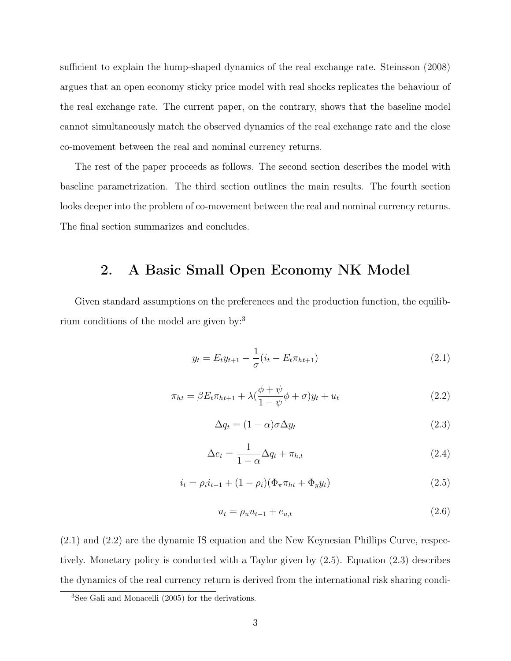sufficient to explain the hump-shaped dynamics of the real exchange rate. Steinsson (2008) argues that an open economy sticky price model with real shocks replicates the behaviour of the real exchange rate. The current paper, on the contrary, shows that the baseline model cannot simultaneously match the observed dynamics of the real exchange rate and the close co-movement between the real and nominal currency returns.

The rest of the paper proceeds as follows. The second section describes the model with baseline parametrization. The third section outlines the main results. The fourth section looks deeper into the problem of co-movement between the real and nominal currency returns. The final section summarizes and concludes.

#### 2. A Basic Small Open Economy NK Model

Given standard assumptions on the preferences and the production function, the equilibrium conditions of the model are given by:<sup>3</sup>

$$
y_t = E_t y_{t+1} - \frac{1}{\sigma} (i_t - E_t \pi_{ht+1})
$$
\n(2.1)

$$
\pi_{ht} = \beta E_t \pi_{ht+1} + \lambda \left(\frac{\phi + \psi}{1 - \psi}\phi + \sigma\right) y_t + u_t \tag{2.2}
$$

$$
\Delta q_t = (1 - \alpha)\sigma \Delta y_t \tag{2.3}
$$

$$
\Delta e_t = \frac{1}{1 - \alpha} \Delta q_t + \pi_{h,t} \tag{2.4}
$$

$$
i_t = \rho_i i_{t-1} + (1 - \rho_i)(\Phi_\pi \pi_{ht} + \Phi_y y_t)
$$
\n(2.5)

$$
u_t = \rho_u u_{t-1} + e_{u,t} \tag{2.6}
$$

(2.1) and (2.2) are the dynamic IS equation and the New Keynesian Phillips Curve, respectively. Monetary policy is conducted with a Taylor given by (2.5). Equation (2.3) describes the dynamics of the real currency return is derived from the international risk sharing condi-

<sup>3</sup>See Gali and Monacelli (2005) for the derivations.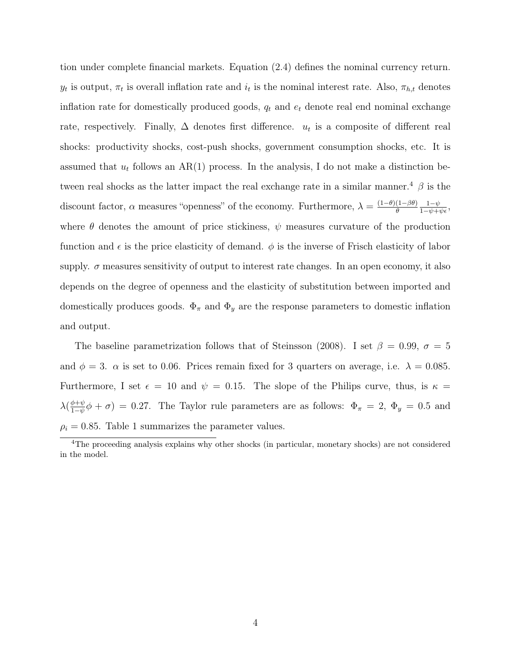tion under complete financial markets. Equation (2.4) defines the nominal currency return.  $y_t$  is output,  $\pi_t$  is overall inflation rate and  $i_t$  is the nominal interest rate. Also,  $\pi_{h,t}$  denotes inflation rate for domestically produced goods,  $q_t$  and  $e_t$  denote real end nominal exchange rate, respectively. Finally,  $\Delta$  denotes first difference.  $u_t$  is a composite of different real shocks: productivity shocks, cost-push shocks, government consumption shocks, etc. It is assumed that  $u_t$  follows an AR(1) process. In the analysis, I do not make a distinction between real shocks as the latter impact the real exchange rate in a similar manner.<sup>4</sup>  $\beta$  is the discount factor,  $\alpha$  measures "openness" of the economy. Furthermore,  $\lambda = \frac{(1-\theta)(1-\beta\theta)}{\theta}$ θ  $\frac{1-\psi}{1-\psi+\psi\epsilon},$ where  $\theta$  denotes the amount of price stickiness,  $\psi$  measures curvature of the production function and  $\epsilon$  is the price elasticity of demand.  $\phi$  is the inverse of Frisch elasticity of labor supply.  $\sigma$  measures sensitivity of output to interest rate changes. In an open economy, it also depends on the degree of openness and the elasticity of substitution between imported and domestically produces goods.  $\Phi_{\pi}$  and  $\Phi_{y}$  are the response parameters to domestic inflation and output.

The baseline parametrization follows that of Steinsson (2008). I set  $\beta = 0.99, \sigma = 5$ and  $\phi = 3$ .  $\alpha$  is set to 0.06. Prices remain fixed for 3 quarters on average, i.e.  $\lambda = 0.085$ . Furthermore, I set  $\epsilon = 10$  and  $\psi = 0.15$ . The slope of the Philips curve, thus, is  $\kappa =$  $\lambda(\frac{\phi+\psi}{1-\psi}\phi+\sigma) = 0.27$ . The Taylor rule parameters are as follows:  $\Phi_{\pi} = 2, \ \Phi_y = 0.5$  and  $\rho_i = 0.85$ . Table 1 summarizes the parameter values.

<sup>&</sup>lt;sup>4</sup>The proceeding analysis explains why other shocks (in particular, monetary shocks) are not considered in the model.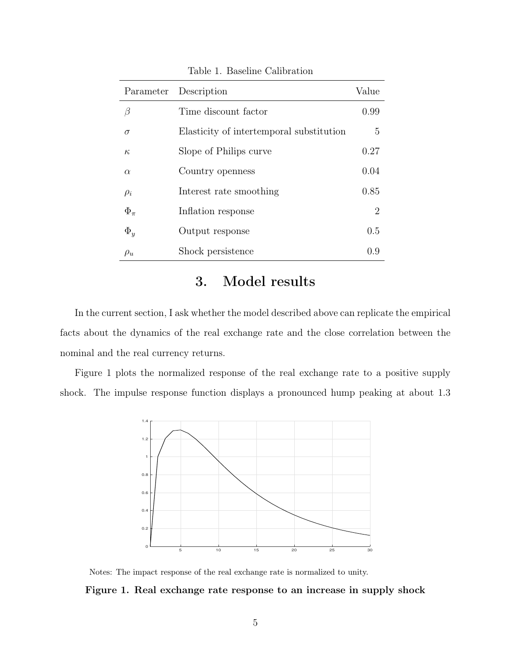|              | Parameter Description                    | Value |
|--------------|------------------------------------------|-------|
| В            | Time discount factor                     | 0.99  |
| $\sigma$     | Elasticity of intertemporal substitution | 5     |
| $\kappa$     | Slope of Philips curve                   | 0.27  |
| $\alpha$     | Country openness                         | 0.04  |
| $\rho_i$     | Interest rate smoothing                  | 0.85  |
| $\Phi_{\pi}$ | Inflation response                       | 2     |
| $\Phi_u$     | Output response                          | 0.5   |
| $\rho_u$     | Shock persistence                        | 0.9   |

Table 1. Baseline Calibration

### 3. Model results

In the current section, I ask whether the model described above can replicate the empirical facts about the dynamics of the real exchange rate and the close correlation between the nominal and the real currency returns.

Figure 1 plots the normalized response of the real exchange rate to a positive supply shock. The impulse response function displays a pronounced hump peaking at about 1.3



Notes: The impact response of the real exchange rate is normalized to unity.

Figure 1. Real exchange rate response to an increase in supply shock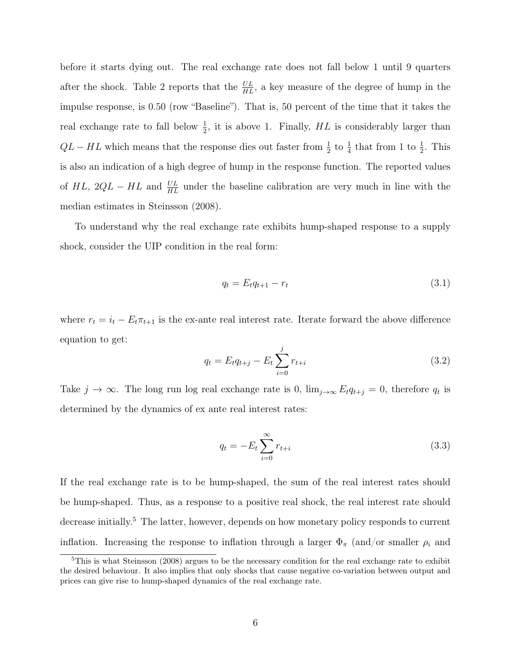before it starts dying out. The real exchange rate does not fall below 1 until 9 quarters after the shock. Table 2 reports that the  $\frac{UL}{HL}$ , a key measure of the degree of hump in the impulse response, is 0.50 (row "Baseline"). That is, 50 percent of the time that it takes the real exchange rate to fall below  $\frac{1}{2}$ , it is above 1. Finally, HL is considerably larger than  $QL - HL$  which means that the response dies out faster from  $\frac{1}{2}$  to  $\frac{1}{4}$  that from 1 to  $\frac{1}{2}$ . This is also an indication of a high degree of hump in the response function. The reported values of  $HL$ ,  $2QL - HL$  and  $UL$  under the baseline calibration are very much in line with the median estimates in Steinsson (2008).

To understand why the real exchange rate exhibits hump-shaped response to a supply shock, consider the UIP condition in the real form:

$$
q_t = E_t q_{t+1} - r_t \tag{3.1}
$$

where  $r_t = i_t - E_t \pi_{t+1}$  is the ex-ante real interest rate. Iterate forward the above difference equation to get:

$$
q_t = E_t q_{t+j} - E_t \sum_{i=0}^{j} r_{t+i}
$$
\n(3.2)

Take  $j \to \infty$ . The long run log real exchange rate is 0,  $\lim_{j\to\infty} E_t q_{t+j} = 0$ , therefore  $q_t$  is determined by the dynamics of ex ante real interest rates:

$$
q_t = -E_t \sum_{i=0}^{\infty} r_{t+i}
$$
 (3.3)

If the real exchange rate is to be hump-shaped, the sum of the real interest rates should be hump-shaped. Thus, as a response to a positive real shock, the real interest rate should decrease initially.<sup>5</sup> The latter, however, depends on how monetary policy responds to current inflation. Increasing the response to inflation through a larger  $\Phi_{\pi}$  (and/or smaller  $\rho_i$  and

 $5$ This is what Steinsson (2008) argues to be the necessary condition for the real exchange rate to exhibit the desired behaviour. It also implies that only shocks that cause negative co-variation between output and prices can give rise to hump-shaped dynamics of the real exchange rate.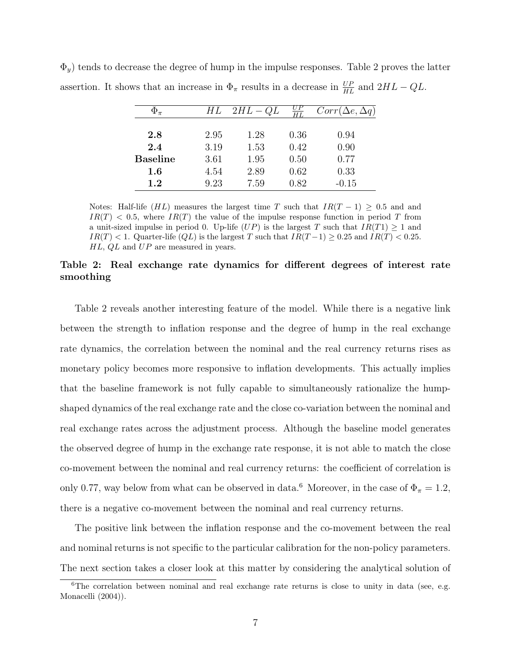|                 | НL   | $2HL - QL$ | $\overline{H}\overline{L}$ | $Corr(\Delta e, \Delta q)$ |
|-----------------|------|------------|----------------------------|----------------------------|
| 2.8             | 2.95 | 1.28       | 0.36                       | 0.94                       |
| 2.4             | 3.19 | 1.53       | 0.42                       | 0.90                       |
| <b>Baseline</b> | 3.61 | 1.95       | 0.50                       | 0.77                       |
| $1.6\,$         | 4.54 | 2.89       | 0.62                       | 0.33                       |
| 1.2             | 9.23 | 7.59       | 0.82                       | $-0.15$                    |

 $\Phi_y$ ) tends to decrease the degree of hump in the impulse responses. Table 2 proves the latter assertion. It shows that an increase in  $\Phi_{\pi}$  results in a decrease in  $\frac{UP}{HL}$  and  $2HL - QL$ .

Notes: Half-life (HL) measures the largest time T such that  $IR(T-1) \geq 0.5$  and and  $IR(T)$  < 0.5, where  $IR(T)$  the value of the impulse response function in period T from a unit-sized impulse in period 0. Up-life  $(UP)$  is the largest T such that  $IR(T1) \geq 1$  and  $IR(T) < 1.$  Quarter-life  $(QL)$  is the largest T such that  $IR(T-1) \geq 0.25$  and  $IR(T) < 0.25$ .  $HL$ ,  $QL$  and  $UP$  are measured in years.

#### Table 2: Real exchange rate dynamics for different degrees of interest rate smoothing

Table 2 reveals another interesting feature of the model. While there is a negative link between the strength to inflation response and the degree of hump in the real exchange rate dynamics, the correlation between the nominal and the real currency returns rises as monetary policy becomes more responsive to inflation developments. This actually implies that the baseline framework is not fully capable to simultaneously rationalize the humpshaped dynamics of the real exchange rate and the close co-variation between the nominal and real exchange rates across the adjustment process. Although the baseline model generates the observed degree of hump in the exchange rate response, it is not able to match the close co-movement between the nominal and real currency returns: the coefficient of correlation is only 0.77, way below from what can be observed in data.<sup>6</sup> Moreover, in the case of  $\Phi_{\pi} = 1.2$ , there is a negative co-movement between the nominal and real currency returns.

The positive link between the inflation response and the co-movement between the real and nominal returns is not specific to the particular calibration for the non-policy parameters. The next section takes a closer look at this matter by considering the analytical solution of

<sup>&</sup>lt;sup>6</sup>The correlation between nominal and real exchange rate returns is close to unity in data (see, e.g. Monacelli (2004)).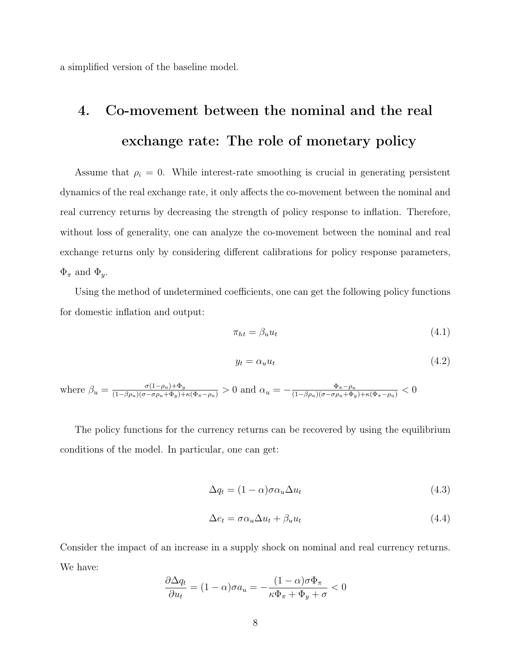a simplified version of the baseline model.

# 4. Co-movement between the nominal and the real exchange rate: The role of monetary policy

Assume that  $\rho_i = 0$ . While interest-rate smoothing is crucial in generating persistent dynamics of the real exchange rate, it only affects the co-movement between the nominal and real currency returns by decreasing the strength of policy response to inflation. Therefore, without loss of generality, one can analyze the co-movement between the nominal and real exchange returns only by considering different calibrations for policy response parameters,  $\Phi_{\pi}$  and  $\Phi_{y}$ .

Using the method of undetermined coefficients, one can get the following policy functions for domestic inflation and output:

$$
\pi_{ht} = \beta_u u_t \tag{4.1}
$$

$$
y_t = \alpha_u u_t \tag{4.2}
$$

where  $\beta_u = \frac{\sigma(1-\rho_u)+\Phi_y}{(1-\beta\rho_u)(\sigma-\sigma\rho_u+\Phi_y)+\kappa(\Phi_\pi-\rho_u)} > 0$  and  $\alpha_u = -\frac{\Phi_\pi-\rho_u}{(1-\beta\rho_u)(\sigma-\sigma\rho_u+\Phi_y)+\kappa(\Phi_\pi-\rho_u)} < 0$ 

The policy functions for the currency returns can be recovered by using the equilibrium conditions of the model. In particular, one can get:

$$
\Delta q_t = (1 - \alpha)\sigma \alpha_u \Delta u_t \tag{4.3}
$$

$$
\Delta e_t = \sigma \alpha_u \Delta u_t + \beta_u u_t \tag{4.4}
$$

Consider the impact of an increase in a supply shock on nominal and real currency returns. We have:

$$
\frac{\partial \Delta q_t}{\partial u_t} = (1 - \alpha)\sigma a_u = -\frac{(1 - \alpha)\sigma \Phi_\pi}{\kappa \Phi_\pi + \Phi_y + \sigma} < 0
$$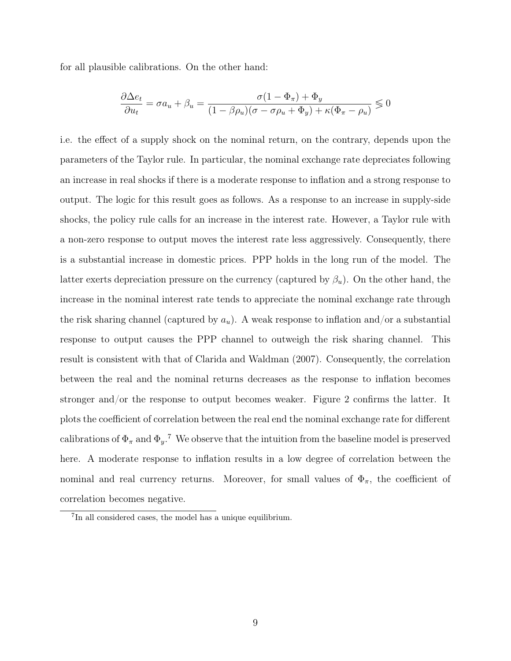for all plausible calibrations. On the other hand:

$$
\frac{\partial \Delta e_t}{\partial u_t} = \sigma a_u + \beta_u = \frac{\sigma (1 - \Phi_\pi) + \Phi_y}{(1 - \beta \rho_u)(\sigma - \sigma \rho_u + \Phi_y) + \kappa (\Phi_\pi - \rho_u)} \leq 0
$$

i.e. the effect of a supply shock on the nominal return, on the contrary, depends upon the parameters of the Taylor rule. In particular, the nominal exchange rate depreciates following an increase in real shocks if there is a moderate response to inflation and a strong response to output. The logic for this result goes as follows. As a response to an increase in supply-side shocks, the policy rule calls for an increase in the interest rate. However, a Taylor rule with a non-zero response to output moves the interest rate less aggressively. Consequently, there is a substantial increase in domestic prices. PPP holds in the long run of the model. The latter exerts depreciation pressure on the currency (captured by  $\beta_u$ ). On the other hand, the increase in the nominal interest rate tends to appreciate the nominal exchange rate through the risk sharing channel (captured by  $a_u$ ). A weak response to inflation and/or a substantial response to output causes the PPP channel to outweigh the risk sharing channel. This result is consistent with that of Clarida and Waldman (2007). Consequently, the correlation between the real and the nominal returns decreases as the response to inflation becomes stronger and/or the response to output becomes weaker. Figure 2 confirms the latter. It plots the coefficient of correlation between the real end the nominal exchange rate for different calibrations of  $\Phi_{\pi}$  and  $\Phi_{y}$ .<sup>7</sup> We observe that the intuition from the baseline model is preserved here. A moderate response to inflation results in a low degree of correlation between the nominal and real currency returns. Moreover, for small values of  $\Phi_{\pi}$ , the coefficient of correlation becomes negative.

<sup>7</sup> In all considered cases, the model has a unique equilibrium.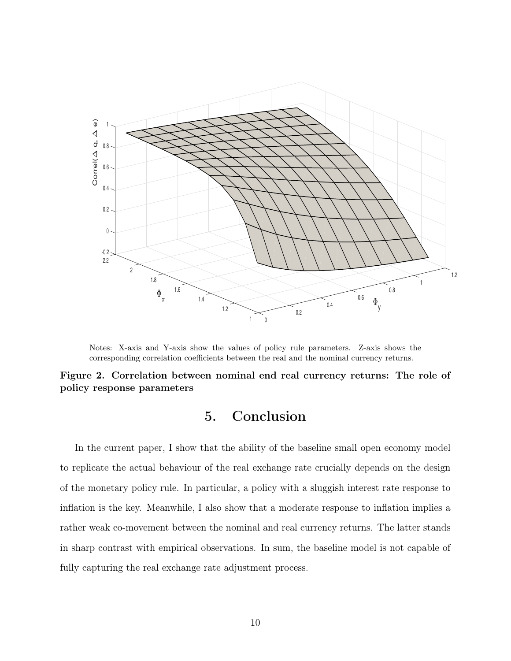

Notes: X-axis and Y-axis show the values of policy rule parameters. Z-axis shows the corresponding correlation coefficients between the real and the nominal currency returns.

Figure 2. Correlation between nominal end real currency returns: The role of policy response parameters

### 5. Conclusion

In the current paper, I show that the ability of the baseline small open economy model to replicate the actual behaviour of the real exchange rate crucially depends on the design of the monetary policy rule. In particular, a policy with a sluggish interest rate response to inflation is the key. Meanwhile, I also show that a moderate response to inflation implies a rather weak co-movement between the nominal and real currency returns. The latter stands in sharp contrast with empirical observations. In sum, the baseline model is not capable of fully capturing the real exchange rate adjustment process.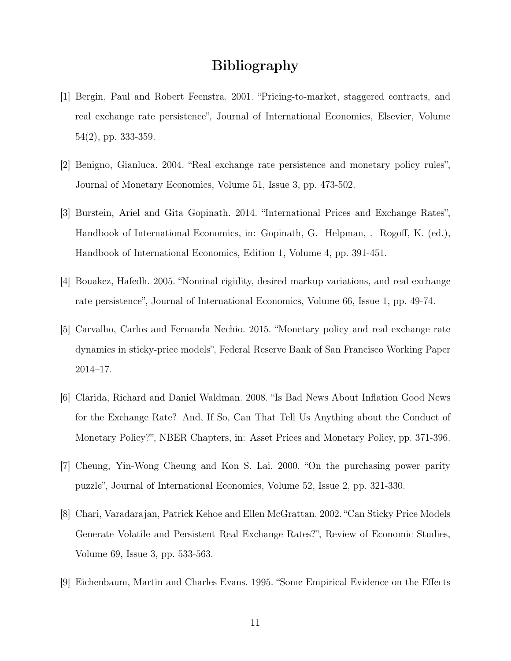### Bibliography

- [1] Bergin, Paul and Robert Feenstra. 2001. "Pricing-to-market, staggered contracts, and real exchange rate persistence", Journal of International Economics, Elsevier, Volume 54(2), pp. 333-359.
- [2] Benigno, Gianluca. 2004. "Real exchange rate persistence and monetary policy rules", Journal of Monetary Economics, Volume 51, Issue 3, pp. 473-502.
- [3] Burstein, Ariel and Gita Gopinath. 2014. "International Prices and Exchange Rates", Handbook of International Economics, in: Gopinath, G. Helpman, . Rogoff, K. (ed.), Handbook of International Economics, Edition 1, Volume 4, pp. 391-451.
- [4] Bouakez, Hafedh. 2005. "Nominal rigidity, desired markup variations, and real exchange rate persistence", Journal of International Economics, Volume 66, Issue 1, pp. 49-74.
- [5] Carvalho, Carlos and Fernanda Nechio. 2015. "Monetary policy and real exchange rate dynamics in sticky-price models", Federal Reserve Bank of San Francisco Working Paper 2014–17.
- [6] Clarida, Richard and Daniel Waldman. 2008. "Is Bad News About Inflation Good News for the Exchange Rate? And, If So, Can That Tell Us Anything about the Conduct of Monetary Policy?", NBER Chapters, in: Asset Prices and Monetary Policy, pp. 371-396.
- [7] Cheung, Yin-Wong Cheung and Kon S. Lai. 2000. "On the purchasing power parity puzzle", Journal of International Economics, Volume 52, Issue 2, pp. 321-330.
- [8] Chari, Varadarajan, Patrick Kehoe and Ellen McGrattan. 2002. "Can Sticky Price Models Generate Volatile and Persistent Real Exchange Rates?", Review of Economic Studies, Volume 69, Issue 3, pp. 533-563.
- [9] Eichenbaum, Martin and Charles Evans. 1995. "Some Empirical Evidence on the Effects